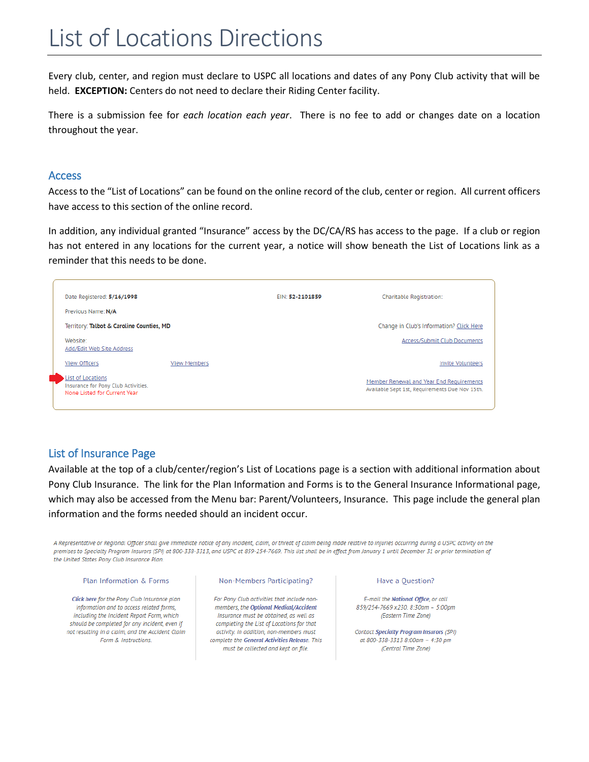# List of Locations Directions

Every club, center, and region must declare to USPC all locations and dates of any Pony Club activity that will be held. **EXCEPTION:** Centers do not need to declare their Riding Center facility.

There is a submission fee for *each location each year*. There is no fee to add or changes date on a location throughout the year.

### Access

Access to the "List of Locations" can be found on the online record of the club, center or region. All current officers have access to this section of the online record.

In addition, any individual granted "Insurance" access by the DC/CA/RS has access to the page. If a club or region has not entered in any locations for the current year, a notice will show beneath the List of Locations link as a reminder that this needs to be done.

| Date Registered: 5/16/1998                                                               | EIN: 52-2101859 | Charitable Registration:                                                                   |
|------------------------------------------------------------------------------------------|-----------------|--------------------------------------------------------------------------------------------|
| Previous Name: N/A                                                                       |                 |                                                                                            |
| Territory: Talbot & Caroline Counties, MD                                                |                 | Change in Club's Information? Click Here                                                   |
| Website:<br>Add/Edit Web Site Address                                                    |                 | Access/Submit Club Documents                                                               |
| View Officers<br><b>View Members</b>                                                     |                 | <b>Invite Volunteers</b>                                                                   |
| List of Locations<br>Insurance for Pony Club Activities.<br>None Listed for Current Year |                 | Member Renewal and Year End Requirements<br>Available Sept 1st, Requirements Due Nov 15th. |

## List of Insurance Page

Available at the top of a club/center/region's List of Locations page is a section with additional information about Pony Club Insurance. The link for the Plan Information and Forms is to the General Insurance Informational page, which may also be accessed from the Menu bar: Parent/Volunteers, Insurance. This page include the general plan information and the forms needed should an incident occur.

A Representative or Regional Officer shall give immediate notice of any incident, claim, or threat of claim being made relative to injuries occurring during a USPC activity on the premises to Specialty Program Insurors (SPI) at 800-338-3313, and USPC at 859-254-7669. This list shall be in effect from January 1 until December 31 or prior termination of the United States Pony Club Insurance Plan.

#### Plan Information & Forms

Click here for the Pony Club Insurance plan information and to access related forms. including the Incident Report Form, which should be completed for any incident, even if not resulting in a claim, and the Accident Claim Form & Instructions.

#### Non-Members Participating?

For Pony Club activities that include nonmembers, the Optional Medical/Accident Insurance must be obtained, as well as completing the List of Locations for that activity. In addition, non-members must complete the General Activities Release. This must be collected and kept on file.

#### Have a Question?

E-mail the National Office, or call 859/254-7669 x230. 8:30am - 5:00pm (Eastern Time Zone)

Contact Specialty Program Insurors (SPI) at 800-338-3313 8:00am - 4:30 pm (Central Time Zone)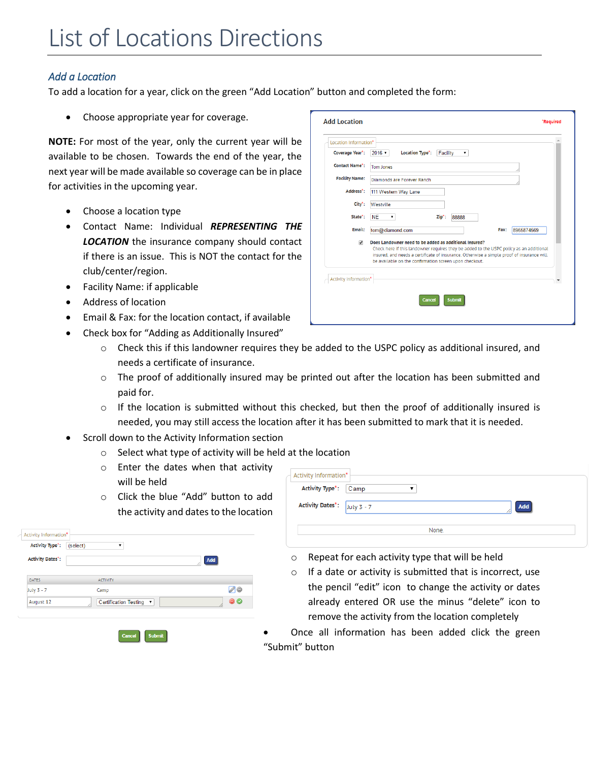## *Add a Location*

To add a location for a year, click on the green "Add Location" button and completed the form:

Choose appropriate year for coverage.

**NOTE:** For most of the year, only the current year will be available to be chosen. Towards the end of the year, the next year will be made available so coverage can be in place for activities in the upcoming year.

- Choose a location type
- Contact Name: Individual *REPRESENTING THE LOCATION* the insurance company should contact if there is an issue. This is NOT the contact for the club/center/region.
- Facility Name: if applicable
- Address of location
- Email & Fax: for the location contact, if available
- Check box for "Adding as Additionally Insured"
	- $\circ$  Check this if this landowner requires they be added to the USPC policy as additional insured, and needs a certificate of insurance.
	- o The proof of additionally insured may be printed out after the location has been submitted and paid for.
	- $\circ$  If the location is submitted without this checked, but then the proof of additionally insured is needed, you may still access the location after it has been submitted to mark that it is needed.
- Scroll down to the Activity Information section
	- o Select what type of activity will be held at the location
	- o Enter the dates when that activity will be held
	- o Click the blue "Add" button to add the activity and dates to the location

| <b>Activity Type*:</b><br>(select) |                         |                  |
|------------------------------------|-------------------------|------------------|
| <b>Activity Dates':</b>            |                         | Add              |
| <b>DATES</b>                       | <b>ACTIVITY</b>         |                  |
| July 3 - 7                         | Camp                    | 00               |
| August 12                          | Certification Testing ▼ | $\bullet\bullet$ |

| Location Information*        |                                                                                                                                                                                                                                                                                                          |
|------------------------------|----------------------------------------------------------------------------------------------------------------------------------------------------------------------------------------------------------------------------------------------------------------------------------------------------------|
| Coverage Year':              | $2016$ $\sqrt{ }$<br><b>Location Type*:</b><br>Facility<br>۷.                                                                                                                                                                                                                                            |
| <b>Contact Name*:</b>        | Tom Jones                                                                                                                                                                                                                                                                                                |
| <b>Facility Name:</b>        | Diamonds are Forever Ranch                                                                                                                                                                                                                                                                               |
| Address <sup>*</sup> :       | 111 Western Way Lane                                                                                                                                                                                                                                                                                     |
| City <sup>*</sup> :          | Westville                                                                                                                                                                                                                                                                                                |
| State <sup>*</sup> :         | <b>NE</b><br>Zip*:<br>88888<br>▼                                                                                                                                                                                                                                                                         |
| Email:                       | 8965874569<br>tom@diamond.com<br>Fax:                                                                                                                                                                                                                                                                    |
| $\overline{\mathcal{L}}$     | Does Landowner need to be added as additional Insured?<br>Check here if this landowner requires they be added to the USPC policy as an additional<br>insured, and needs a certificate of insurance. Otherwise a simple proof of insurance will<br>be available on the confirmation screen upon checkout. |
| <b>Activity Information*</b> |                                                                                                                                                                                                                                                                                                          |
|                              |                                                                                                                                                                                                                                                                                                          |

- Activity Information<sup>\*</sup>  $\overline{\mathbf{r}}$ Activity Type<sup>\*</sup>: Camp **Activity Dates<sup>\*</sup>:** July 3 - 7 Add None
	- o Repeat for each activity type that will be held
	- $\circ$  If a date or activity is submitted that is incorrect, use the pencil "edit" icon to change the activity or dates already entered OR use the minus "delete" icon to remove the activity from the location completely
- Once all information has been added click the green "Submit" button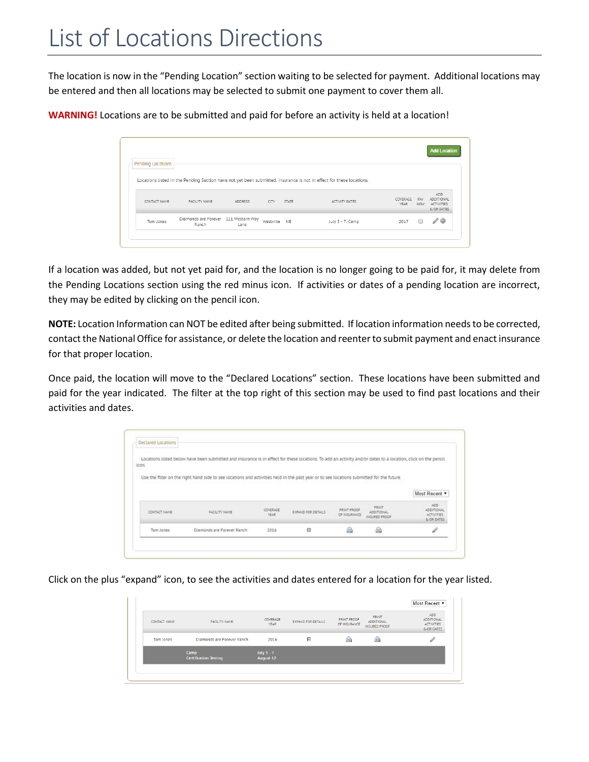The location is now in the "Pending Location" section waiting to be selected for payment. Additional locations may be entered and then all locations may be selected to submit one payment to cover them all.

**WARNING!** Locations are to be submitted and paid for before an activity is held at a location!

| Pending Locations                                                                                                    |                                               |                |              |              |                       |                         |                   | <b>Add Location</b>                                                |
|----------------------------------------------------------------------------------------------------------------------|-----------------------------------------------|----------------|--------------|--------------|-----------------------|-------------------------|-------------------|--------------------------------------------------------------------|
| Locations listed in the Pending Section have not yet been submitted. Insurance is not in effect for these locations. |                                               |                |              |              |                       |                         |                   |                                                                    |
| <b>CONTACT NAME</b>                                                                                                  | <b>FACILITY NAME</b>                          | <b>ADDRESS</b> | <b>CITY</b>  | <b>STATE</b> | <b>ACTIVITY DATES</b> | COVERAGE<br><b>YEAR</b> | PAY<br><b>NOW</b> | <b>ADD</b><br><b>ADDITIONAL</b><br><b>ACTIVITIES</b><br>&/OR DATES |
| <b>Tom Jones</b>                                                                                                     | Diamonds are Forever 111 Western Way<br>Ranch | Lane           | Westville NE |              | July 3 - 7: Camp      | 2017                    |                   | $\mathscr{O}$                                                      |

If a location was added, but not yet paid for, and the location is no longer going to be paid for, it may delete from the Pending Locations section using the red minus icon. If activities or dates of a pending location are incorrect, they may be edited by clicking on the pencil icon.

**NOTE:** Location Information can NOT be edited after being submitted. If location information needs to be corrected, contact the National Office for assistance, or delete the location and reenter to submit payment and enact insurance for that proper location.

Once paid, the location will move to the "Declared Locations" section. These locations have been submitted and paid for the year indicated. The filter at the top right of this section may be used to find past locations and their activities and dates.

|               | Locations listed below have been submitted and insurance is in effect for these locations. To add an activity and/or dates to a location, click on the pencil |                   |                    |                             |                                           |                                    |
|---------------|---------------------------------------------------------------------------------------------------------------------------------------------------------------|-------------------|--------------------|-----------------------------|-------------------------------------------|------------------------------------|
| icon.         |                                                                                                                                                               |                   |                    |                             |                                           |                                    |
|               |                                                                                                                                                               |                   |                    |                             |                                           |                                    |
|               | Use the fitter on the right hand side to see locations and activities held in the past year or to see locations submitted for the future.                     |                   |                    |                             |                                           |                                    |
|               |                                                                                                                                                               |                   |                    |                             |                                           |                                    |
|               |                                                                                                                                                               |                   |                    |                             |                                           |                                    |
|               |                                                                                                                                                               |                   |                    |                             |                                           |                                    |
|               |                                                                                                                                                               |                   |                    |                             | PRINT                                     | ADD:                               |
| CONTACT NAME: | <b>FACILITY NAME</b>                                                                                                                                          | COVERAGE<br>YEAR. | EXPAND FOR DETAILS | PRINT PROOF<br>OF INSURANCE | <b>ADDITIONAL</b><br><b>INSURED PROOF</b> | ADDITIONAL<br><b>ACTIVITIES</b>    |
|               |                                                                                                                                                               |                   |                    |                             |                                           | Most Recent *<br><b>A/OR DATES</b> |

Click on the plus "expand" icon, to see the activities and dates entered for a location for the year listed.

| Tom Jones           | Diamonds are Forever Ranch<br>Camp | 2016<br>July $3 - 7$    | Θ                         | A                                  | a                                                  | $\mathscr{Q}$                                                      |
|---------------------|------------------------------------|-------------------------|---------------------------|------------------------------------|----------------------------------------------------|--------------------------------------------------------------------|
| <b>CONTACT NAME</b> | FACILITY NAME                      | COVERAGE<br><b>YEAR</b> | <b>EXPAND FOR DETAILS</b> | <b>PRINT PROOF</b><br>OF INSURANCE | PRINT<br><b>ADDITIONAL</b><br><b>INSURED PROOF</b> | <b>ADD</b><br><b>ADDITIONAL</b><br><b>ACTIVITIES</b><br>&/OR DATES |